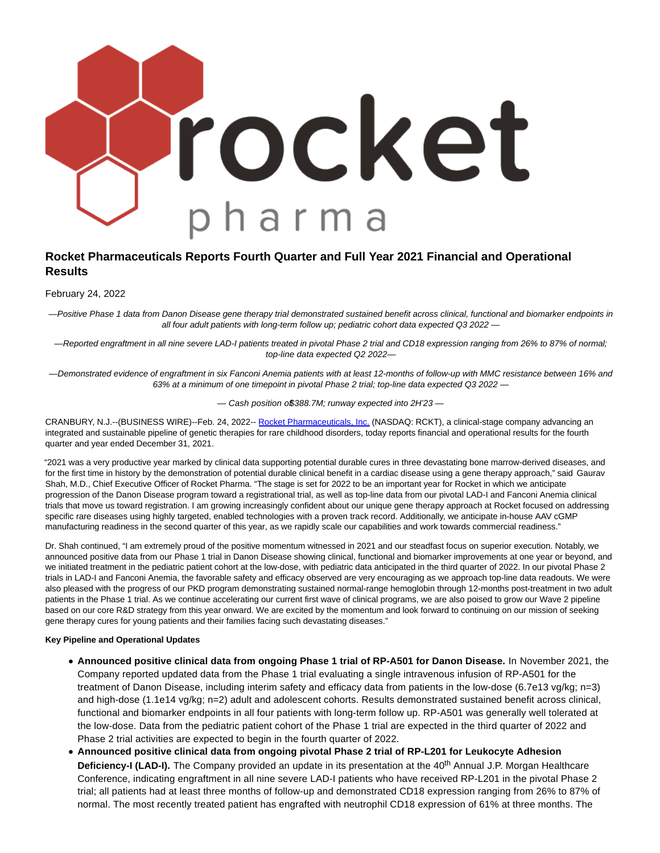

# **Rocket Pharmaceuticals Reports Fourth Quarter and Full Year 2021 Financial and Operational Results**

February 24, 2022

— Positive Phase 1 data from Danon Disease gene therapy trial demonstrated sustained benefit across clinical, functional and biomarker endpoints in all four adult patients with long-term follow up; pediatric cohort data expected Q3 2022 —

— Reported engraftment in all nine severe LAD-I patients treated in pivotal Phase 2 trial and CD18 expression ranging from 26% to 87% of normal; top-line data expected Q2 2022—

— Demonstrated evidence of engraftment in six Fanconi Anemia patients with at least 12-months of follow-up with MMC resistance between 16% and 63% at a minimum of one timepoint in pivotal Phase 2 trial; top-line data expected Q3 2022 —

- Cash position o\$388.7M; runway expected into 2H'23-

CRANBURY, N.J.--(BUSINESS WIRE)--Feb. 24, 2022-- [Rocket Pharmaceuticals, Inc. \(](https://cts.businesswire.com/ct/CT?id=smartlink&url=https%3A%2F%2Frocketpharma.com%2F&esheet=52584833&newsitemid=20220224005324&lan=en-US&anchor=Rocket+Pharmaceuticals%2C+Inc.&index=1&md5=e6ba20bf804625b405d1d9e96e2d2e76)NASDAQ: RCKT), a clinical-stage company advancing an integrated and sustainable pipeline of genetic therapies for rare childhood disorders, today reports financial and operational results for the fourth quarter and year ended December 31, 2021.

"2021 was a very productive year marked by clinical data supporting potential durable cures in three devastating bone marrow-derived diseases, and for the first time in history by the demonstration of potential durable clinical benefit in a cardiac disease using a gene therapy approach," said Gaurav Shah, M.D., Chief Executive Officer of Rocket Pharma. "The stage is set for 2022 to be an important year for Rocket in which we anticipate progression of the Danon Disease program toward a registrational trial, as well as top-line data from our pivotal LAD-I and Fanconi Anemia clinical trials that move us toward registration. I am growing increasingly confident about our unique gene therapy approach at Rocket focused on addressing specific rare diseases using highly targeted, enabled technologies with a proven track record. Additionally, we anticipate in-house AAV cGMP manufacturing readiness in the second quarter of this year, as we rapidly scale our capabilities and work towards commercial readiness."

Dr. Shah continued, "I am extremely proud of the positive momentum witnessed in 2021 and our steadfast focus on superior execution. Notably, we announced positive data from our Phase 1 trial in Danon Disease showing clinical, functional and biomarker improvements at one year or beyond, and we initiated treatment in the pediatric patient cohort at the low-dose, with pediatric data anticipated in the third quarter of 2022. In our pivotal Phase 2 trials in LAD-I and Fanconi Anemia, the favorable safety and efficacy observed are very encouraging as we approach top-line data readouts. We were also pleased with the progress of our PKD program demonstrating sustained normal-range hemoglobin through 12-months post-treatment in two adult patients in the Phase 1 trial. As we continue accelerating our current first wave of clinical programs, we are also poised to grow our Wave 2 pipeline based on our core R&D strategy from this year onward. We are excited by the momentum and look forward to continuing on our mission of seeking gene therapy cures for young patients and their families facing such devastating diseases."

#### **Key Pipeline and Operational Updates**

- **Announced positive clinical data from ongoing Phase 1 trial of RP-A501 for Danon Disease.** In November 2021, the Company reported updated data from the Phase 1 trial evaluating a single intravenous infusion of RP-A501 for the treatment of Danon Disease, including interim safety and efficacy data from patients in the low-dose (6.7e13 vg/kg; n=3) and high-dose (1.1e14 vg/kg; n=2) adult and adolescent cohorts. Results demonstrated sustained benefit across clinical, functional and biomarker endpoints in all four patients with long-term follow up. RP-A501 was generally well tolerated at the low-dose. Data from the pediatric patient cohort of the Phase 1 trial are expected in the third quarter of 2022 and Phase 2 trial activities are expected to begin in the fourth quarter of 2022.
- **Announced positive clinical data from ongoing pivotal Phase 2 trial of RP-L201 for Leukocyte Adhesion Deficiency-I (LAD-I).** The Company provided an update in its presentation at the 40<sup>th</sup> Annual J.P. Morgan Healthcare Conference, indicating engraftment in all nine severe LAD-I patients who have received RP-L201 in the pivotal Phase 2 trial; all patients had at least three months of follow-up and demonstrated CD18 expression ranging from 26% to 87% of normal. The most recently treated patient has engrafted with neutrophil CD18 expression of 61% at three months. The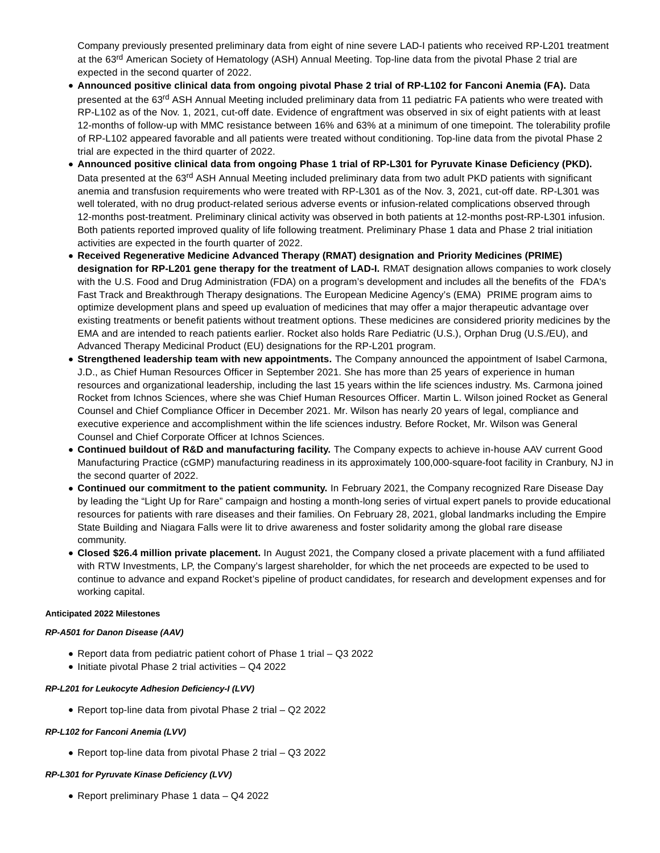Company previously presented preliminary data from eight of nine severe LAD-I patients who received RP-L201 treatment at the 63<sup>rd</sup> American Society of Hematology (ASH) Annual Meeting. Top-line data from the pivotal Phase 2 trial are expected in the second quarter of 2022.

- **Announced positive clinical data from ongoing pivotal Phase 2 trial of RP-L102 for Fanconi Anemia (FA).** Data presented at the 63<sup>rd</sup> ASH Annual Meeting included preliminary data from 11 pediatric FA patients who were treated with RP-L102 as of the Nov. 1, 2021, cut-off date. Evidence of engraftment was observed in six of eight patients with at least 12-months of follow-up with MMC resistance between 16% and 63% at a minimum of one timepoint. The tolerability profile of RP-L102 appeared favorable and all patients were treated without conditioning. Top-line data from the pivotal Phase 2 trial are expected in the third quarter of 2022.
- **Announced positive clinical data from ongoing Phase 1 trial of RP-L301 for Pyruvate Kinase Deficiency (PKD).** Data presented at the 63<sup>rd</sup> ASH Annual Meeting included preliminary data from two adult PKD patients with significant anemia and transfusion requirements who were treated with RP-L301 as of the Nov. 3, 2021, cut-off date. RP-L301 was well tolerated, with no drug product-related serious adverse events or infusion-related complications observed through 12-months post-treatment. Preliminary clinical activity was observed in both patients at 12-months post-RP-L301 infusion. Both patients reported improved quality of life following treatment. Preliminary Phase 1 data and Phase 2 trial initiation activities are expected in the fourth quarter of 2022.
- **Received Regenerative Medicine Advanced Therapy (RMAT) designation and Priority Medicines (PRIME) designation for RP-L201 gene therapy for the treatment of LAD-I.** RMAT designation allows companies to work closely with the U.S. Food and Drug Administration (FDA) on a program's development and includes all the benefits of the FDA's Fast Track and Breakthrough Therapy designations. The European Medicine Agency's (EMA) PRIME program aims to optimize development plans and speed up evaluation of medicines that may offer a major therapeutic advantage over existing treatments or benefit patients without treatment options. These medicines are considered priority medicines by the EMA and are intended to reach patients earlier. Rocket also holds Rare Pediatric (U.S.), Orphan Drug (U.S./EU), and Advanced Therapy Medicinal Product (EU) designations for the RP-L201 program.
- **Strengthened leadership team with new appointments.** The Company announced the appointment of Isabel Carmona, J.D., as Chief Human Resources Officer in September 2021. She has more than 25 years of experience in human resources and organizational leadership, including the last 15 years within the life sciences industry. Ms. Carmona joined Rocket from Ichnos Sciences, where she was Chief Human Resources Officer. Martin L. Wilson joined Rocket as General Counsel and Chief Compliance Officer in December 2021. Mr. Wilson has nearly 20 years of legal, compliance and executive experience and accomplishment within the life sciences industry. Before Rocket, Mr. Wilson was General Counsel and Chief Corporate Officer at Ichnos Sciences.
- **Continued buildout of R&D and manufacturing facility.** The Company expects to achieve in-house AAV current Good Manufacturing Practice (cGMP) manufacturing readiness in its approximately 100,000-square-foot facility in Cranbury, NJ in the second quarter of 2022.
- **Continued our commitment to the patient community.** In February 2021, the Company recognized Rare Disease Day by leading the "Light Up for Rare" campaign and hosting a month-long series of virtual expert panels to provide educational resources for patients with rare diseases and their families. On February 28, 2021, global landmarks including the Empire State Building and Niagara Falls were lit to drive awareness and foster solidarity among the global rare disease community.
- **Closed \$26.4 million private placement.** In August 2021, the Company closed a private placement with a fund affiliated with RTW Investments, LP, the Company's largest shareholder, for which the net proceeds are expected to be used to continue to advance and expand Rocket's pipeline of product candidates, for research and development expenses and for working capital.

### **Anticipated 2022 Milestones**

### **RP-A501 for Danon Disease (AAV)**

- Report data from pediatric patient cohort of Phase 1 trial Q3 2022
- $\bullet$  Initiate pivotal Phase 2 trial activities  $-$  Q4 2022

#### **RP-L201 for Leukocyte Adhesion Deficiency-I (LVV)**

Report top-line data from pivotal Phase 2 trial – Q2 2022

### **RP-L102 for Fanconi Anemia (LVV)**

Report top-line data from pivotal Phase 2 trial – Q3 2022

#### **RP-L301 for Pyruvate Kinase Deficiency (LVV)**

Report preliminary Phase 1 data – Q4 2022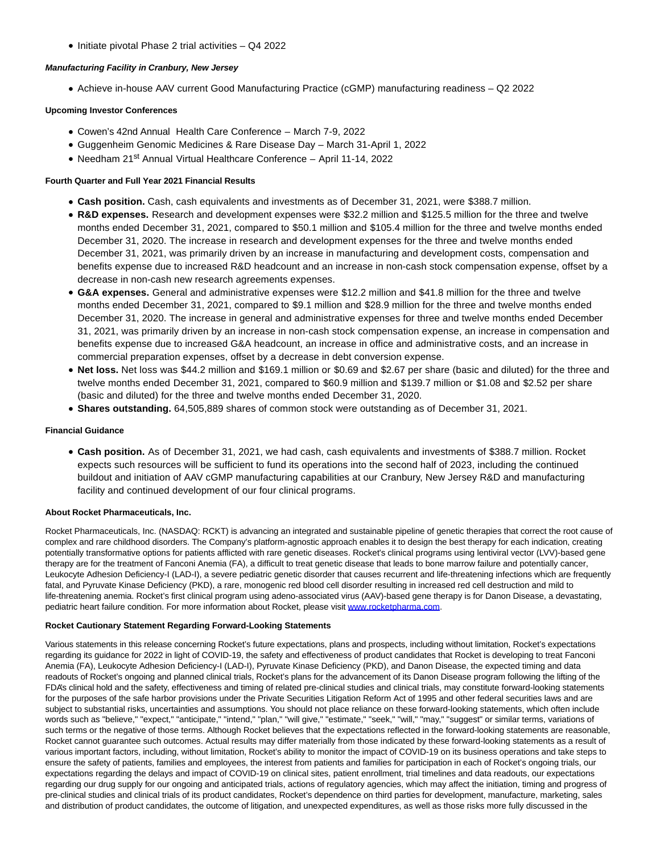$\bullet$  Initiate pivotal Phase 2 trial activities  $-$  Q4 2022

## **Manufacturing Facility in Cranbury, New Jersey**

Achieve in-house AAV current Good Manufacturing Practice (cGMP) manufacturing readiness – Q2 2022

# **Upcoming Investor Conferences**

- Cowen's 42nd Annual Health Care Conference March 7-9, 2022
- Guggenheim Genomic Medicines & Rare Disease Day March 31-April 1, 2022
- Needham 21<sup>st</sup> Annual Virtual Healthcare Conference April 11-14, 2022

## **Fourth Quarter and Full Year 2021 Financial Results**

- **Cash position.** Cash, cash equivalents and investments as of December 31, 2021, were \$388.7 million.
- **R&D expenses.** Research and development expenses were \$32.2 million and \$125.5 million for the three and twelve months ended December 31, 2021, compared to \$50.1 million and \$105.4 million for the three and twelve months ended December 31, 2020. The increase in research and development expenses for the three and twelve months ended December 31, 2021, was primarily driven by an increase in manufacturing and development costs, compensation and benefits expense due to increased R&D headcount and an increase in non-cash stock compensation expense, offset by a decrease in non-cash new research agreements expenses.
- **G&A expenses.** General and administrative expenses were \$12.2 million and \$41.8 million for the three and twelve months ended December 31, 2021, compared to \$9.1 million and \$28.9 million for the three and twelve months ended December 31, 2020. The increase in general and administrative expenses for three and twelve months ended December 31, 2021, was primarily driven by an increase in non-cash stock compensation expense, an increase in compensation and benefits expense due to increased G&A headcount, an increase in office and administrative costs, and an increase in commercial preparation expenses, offset by a decrease in debt conversion expense.
- **Net loss.** Net loss was \$44.2 million and \$169.1 million or \$0.69 and \$2.67 per share (basic and diluted) for the three and twelve months ended December 31, 2021, compared to \$60.9 million and \$139.7 million or \$1.08 and \$2.52 per share (basic and diluted) for the three and twelve months ended December 31, 2020.
- **Shares outstanding.** 64,505,889 shares of common stock were outstanding as of December 31, 2021.

# **Financial Guidance**

**Cash position.** As of December 31, 2021, we had cash, cash equivalents and investments of \$388.7 million. Rocket expects such resources will be sufficient to fund its operations into the second half of 2023, including the continued buildout and initiation of AAV cGMP manufacturing capabilities at our Cranbury, New Jersey R&D and manufacturing facility and continued development of our four clinical programs.

# **About Rocket Pharmaceuticals, Inc.**

Rocket Pharmaceuticals, Inc. (NASDAQ: RCKT) is advancing an integrated and sustainable pipeline of genetic therapies that correct the root cause of complex and rare childhood disorders. The Company's platform-agnostic approach enables it to design the best therapy for each indication, creating potentially transformative options for patients afflicted with rare genetic diseases. Rocket's clinical programs using lentiviral vector (LVV)-based gene therapy are for the treatment of Fanconi Anemia (FA), a difficult to treat genetic disease that leads to bone marrow failure and potentially cancer, Leukocyte Adhesion Deficiency-I (LAD-I), a severe pediatric genetic disorder that causes recurrent and life-threatening infections which are frequently fatal, and Pyruvate Kinase Deficiency (PKD), a rare, monogenic red blood cell disorder resulting in increased red cell destruction and mild to life-threatening anemia. Rocket's first clinical program using adeno-associated virus (AAV)-based gene therapy is for Danon Disease, a devastating, pediatric heart failure condition. For more information about Rocket, please visit [www.rocketpharma.com.](https://cts.businesswire.com/ct/CT?id=smartlink&url=http%3A%2F%2Fwww.rocketpharma.com&esheet=52584833&newsitemid=20220224005324&lan=en-US&anchor=www.rocketpharma.com&index=2&md5=8a1ff35cf787c6d9f16f4bb04573d5ed)

# **Rocket Cautionary Statement Regarding Forward-Looking Statements**

Various statements in this release concerning Rocket's future expectations, plans and prospects, including without limitation, Rocket's expectations regarding its guidance for 2022 in light of COVID-19, the safety and effectiveness of product candidates that Rocket is developing to treat Fanconi Anemia (FA), Leukocyte Adhesion Deficiency-I (LAD-I), Pyruvate Kinase Deficiency (PKD), and Danon Disease, the expected timing and data readouts of Rocket's ongoing and planned clinical trials, Rocket's plans for the advancement of its Danon Disease program following the lifting of the FDA's clinical hold and the safety, effectiveness and timing of related pre-clinical studies and clinical trials, may constitute forward-looking statements for the purposes of the safe harbor provisions under the Private Securities Litigation Reform Act of 1995 and other federal securities laws and are subject to substantial risks, uncertainties and assumptions. You should not place reliance on these forward-looking statements, which often include words such as "believe," "expect," "anticipate," "intend," "plan," "will give," "estimate," "seek," "will," "may," "suggest" or similar terms, variations of such terms or the negative of those terms. Although Rocket believes that the expectations reflected in the forward-looking statements are reasonable, Rocket cannot guarantee such outcomes. Actual results may differ materially from those indicated by these forward-looking statements as a result of various important factors, including, without limitation, Rocket's ability to monitor the impact of COVID-19 on its business operations and take steps to ensure the safety of patients, families and employees, the interest from patients and families for participation in each of Rocket's ongoing trials, our expectations regarding the delays and impact of COVID-19 on clinical sites, patient enrollment, trial timelines and data readouts, our expectations regarding our drug supply for our ongoing and anticipated trials, actions of regulatory agencies, which may affect the initiation, timing and progress of pre-clinical studies and clinical trials of its product candidates, Rocket's dependence on third parties for development, manufacture, marketing, sales and distribution of product candidates, the outcome of litigation, and unexpected expenditures, as well as those risks more fully discussed in the